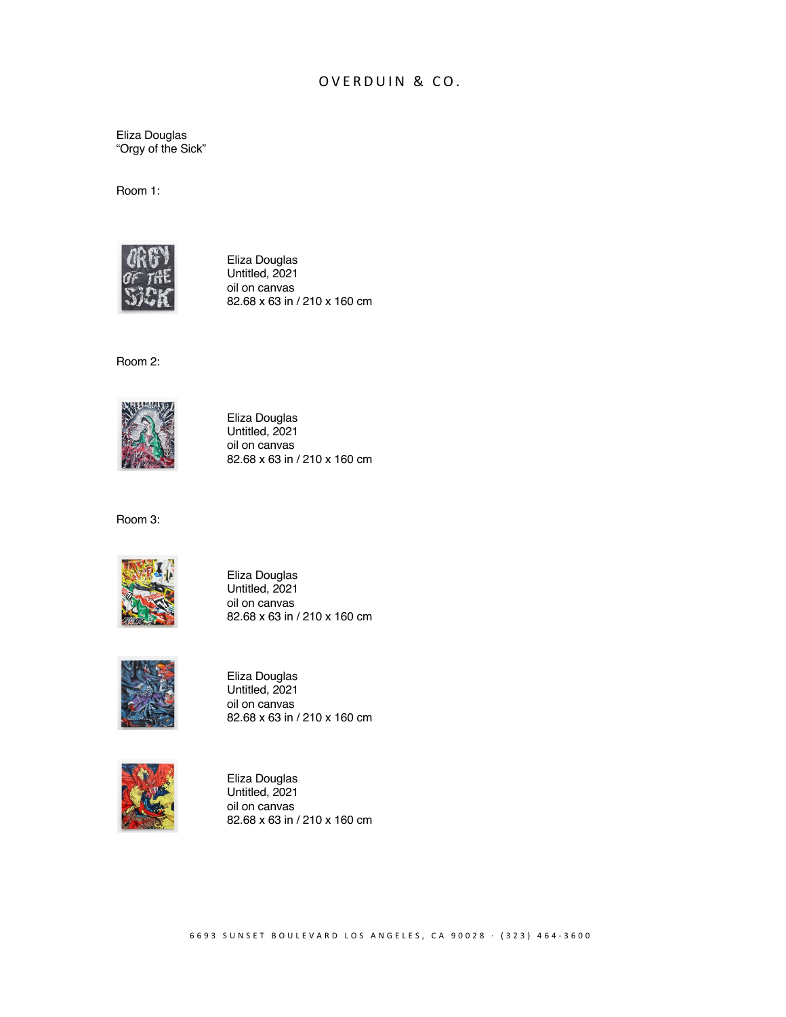## OVERDUIN & CO.

Eliza Douglas "Orgy of the Sick"

Room 1:



Eliza Douglas Untitled, 2021 oil on canvas 82.68 x 63 in / 210 x 160 cm

Room 2:



Eliza Douglas Untitled, 2021 oil on canvas 82.68 x 63 in / 210 x 160 cm

Room 3:



Eliza Douglas Untitled, 2021 oil on canvas 82.68 x 63 in / 210 x 160 cm



Eliza Douglas Untitled, 2021 oil on canvas 82.68 x 63 in / 210 x 160 cm



Eliza Douglas Untitled, 2021 oil on canvas 82.68 x 63 in / 210 x 160 cm

6693 SUNSET BOULEVARD LOS ANGELES, CA 90028 · (323) 464 - 3600